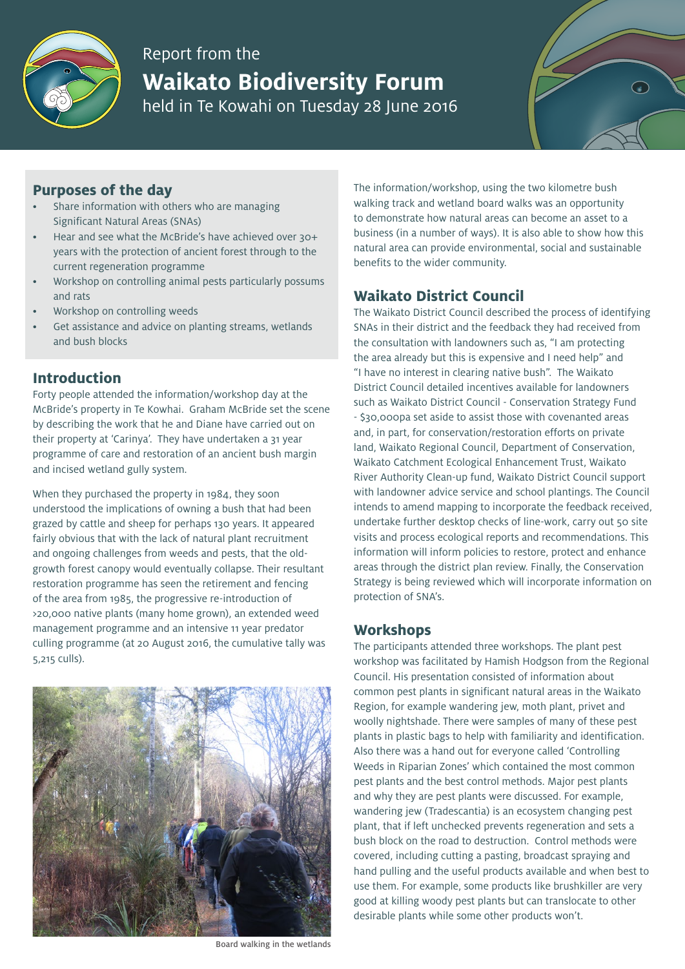

# Report from the **Waikato Biodiversity Forum** held in Te Kowahi on Tuesday 28 June 2016

## **Purposes of the day**

- Share information with others who are managing Significant Natural Areas (SNAs)
- Hear and see what the McBride's have achieved over 30+ years with the protection of ancient forest through to the current regeneration programme
- Workshop on controlling animal pests particularly possums and rats
- Workshop on controlling weeds
- Get assistance and advice on planting streams, wetlands and bush blocks

## **Introduction**

Forty people attended the information/workshop day at the McBride's property in Te Kowhai. Graham McBride set the scene by describing the work that he and Diane have carried out on their property at 'Carinya'. They have undertaken a 31 year programme of care and restoration of an ancient bush margin and incised wetland gully system.

When they purchased the property in 1984, they soon understood the implications of owning a bush that had been grazed by cattle and sheep for perhaps 130 years. It appeared fairly obvious that with the lack of natural plant recruitment and ongoing challenges from weeds and pests, that the oldgrowth forest canopy would eventually collapse. Their resultant restoration programme has seen the retirement and fencing of the area from 1985, the progressive re-introduction of >20,000 native plants (many home grown), an extended weed management programme and an intensive 11 year predator culling programme (at 20 August 2016, the cumulative tally was 5,215 culls).



Board walking in the wetlands

The information/workshop, using the two kilometre bush walking track and wetland board walks was an opportunity to demonstrate how natural areas can become an asset to a business (in a number of ways). It is also able to show how this natural area can provide environmental, social and sustainable benefits to the wider community.

## **Waikato District Council**

The Waikato District Council described the process of identifying SNAs in their district and the feedback they had received from the consultation with landowners such as, "I am protecting the area already but this is expensive and I need help" and "I have no interest in clearing native bush". The Waikato District Council detailed incentives available for landowners such as Waikato District Council - Conservation Strategy Fund - \$30,000pa set aside to assist those with covenanted areas and, in part, for conservation/restoration efforts on private land, Waikato Regional Council, Department of Conservation, Waikato Catchment Ecological Enhancement Trust, Waikato River Authority Clean-up fund, Waikato District Council support with landowner advice service and school plantings. The Council intends to amend mapping to incorporate the feedback received, undertake further desktop checks of line-work, carry out 50 site visits and process ecological reports and recommendations. This information will inform policies to restore, protect and enhance areas through the district plan review. Finally, the Conservation Strategy is being reviewed which will incorporate information on protection of SNA's.

#### **Workshops**

The participants attended three workshops. The plant pest workshop was facilitated by Hamish Hodgson from the Regional Council. His presentation consisted of information about common pest plants in significant natural areas in the Waikato Region, for example wandering jew, moth plant, privet and woolly nightshade. There were samples of many of these pest plants in plastic bags to help with familiarity and identification. Also there was a hand out for everyone called 'Controlling Weeds in Riparian Zones' which contained the most common pest plants and the best control methods. Major pest plants and why they are pest plants were discussed. For example, wandering jew (Tradescantia) is an ecosystem changing pest plant, that if left unchecked prevents regeneration and sets a bush block on the road to destruction. Control methods were covered, including cutting a pasting, broadcast spraying and hand pulling and the useful products available and when best to use them. For example, some products like brushkiller are very good at killing woody pest plants but can translocate to other desirable plants while some other products won't.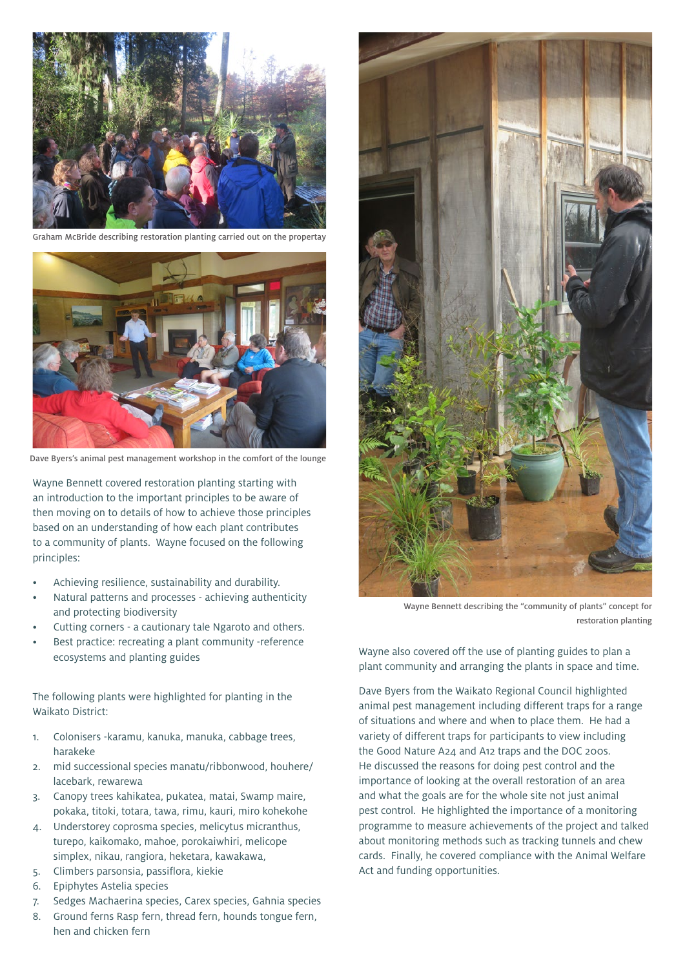

Graham McBride describing restoration planting carried out on the propertay



Dave Byers's animal pest management workshop in the comfort of the lounge

Wayne Bennett covered restoration planting starting with an introduction to the important principles to be aware of then moving on to details of how to achieve those principles based on an understanding of how each plant contributes to a community of plants. Wayne focused on the following principles:

- Achieving resilience, sustainability and durability.
- Natural patterns and processes achieving authenticity and protecting biodiversity
- Cutting corners a cautionary tale Ngaroto and others.
- Best practice: recreating a plant community -reference ecosystems and planting guides

The following plants were highlighted for planting in the Waikato District:

- 1. Colonisers -karamu, kanuka, manuka, cabbage trees, harakeke
- 2. mid successional species manatu/ribbonwood, houhere/ lacebark, rewarewa
- 3. Canopy trees kahikatea, pukatea, matai, Swamp maire, pokaka, titoki, totara, tawa, rimu, kauri, miro kohekohe
- 4. Understorey coprosma species, melicytus micranthus, turepo, kaikomako, mahoe, porokaiwhiri, melicope simplex, nikau, rangiora, heketara, kawakawa,
- 5. Climbers parsonsia, passiflora, kiekie
- 6. Epiphytes Astelia species
- 7. Sedges Machaerina species, Carex species, Gahnia species
- 8. Ground ferns Rasp fern, thread fern, hounds tongue fern, hen and chicken fern



Wayne Bennett describing the "community of plants" concept for restoration planting

Wayne also covered off the use of planting guides to plan a plant community and arranging the plants in space and time.

Dave Byers from the Waikato Regional Council highlighted animal pest management including different traps for a range of situations and where and when to place them. He had a variety of different traps for participants to view including the Good Nature A24 and A12 traps and the DOC 200s. He discussed the reasons for doing pest control and the importance of looking at the overall restoration of an area and what the goals are for the whole site not just animal pest control. He highlighted the importance of a monitoring programme to measure achievements of the project and talked about monitoring methods such as tracking tunnels and chew cards. Finally, he covered compliance with the Animal Welfare Act and funding opportunities.